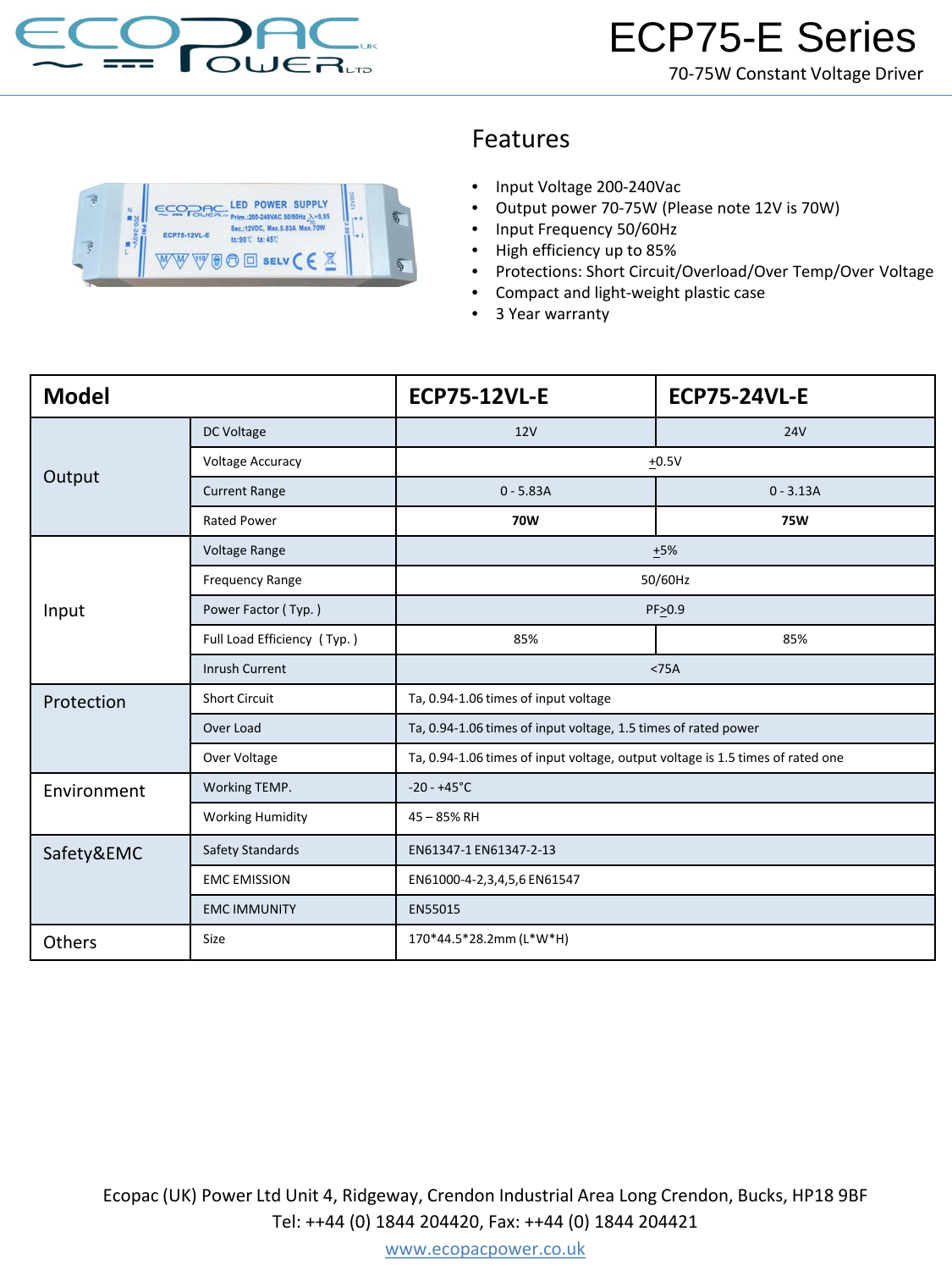

## Features

- Input Voltage 200-240Vac
- Output power 70-75W (Please note 12V is 70W)
- Input Frequency 50/60Hz
- High efficiency up to 85%
- Protections: Short Circuit/Overload/Over Temp/Over Voltage
- Compact and light-weight plastic case
- 3 Year warranty

| <b>Model</b> |                             | <b>ECP75-12VL-E</b>                                                            | <b>ECP75-24VL-E</b> |
|--------------|-----------------------------|--------------------------------------------------------------------------------|---------------------|
| Output       | DC Voltage                  | 12V                                                                            | <b>24V</b>          |
|              | <b>Voltage Accuracy</b>     | $+0.5V$                                                                        |                     |
|              | <b>Current Range</b>        | $0 - 5.83A$                                                                    | $0 - 3.13A$         |
|              | <b>Rated Power</b>          | <b>70W</b>                                                                     | <b>75W</b>          |
| Input        | Voltage Range               | $+5%$                                                                          |                     |
|              | Frequency Range             | 50/60Hz                                                                        |                     |
|              | Power Factor (Typ.)         | PF>0.9                                                                         |                     |
|              | Full Load Efficiency (Typ.) | 85%                                                                            | 85%                 |
|              | <b>Inrush Current</b>       | $<$ 75A                                                                        |                     |
| Protection   | <b>Short Circuit</b>        | Ta, 0.94-1.06 times of input voltage                                           |                     |
|              | Over Load                   | Ta, 0.94-1.06 times of input voltage, 1.5 times of rated power                 |                     |
|              | Over Voltage                | Ta, 0.94-1.06 times of input voltage, output voltage is 1.5 times of rated one |                     |
| Environment  | Working TEMP.               | $-20 - +45^{\circ}C$                                                           |                     |
|              | <b>Working Humidity</b>     | 45 - 85% RH                                                                    |                     |
| Safety&EMC   | Safety Standards            | EN61347-1 EN61347-2-13                                                         |                     |
|              | <b>EMC EMISSION</b>         | EN61000-4-2,3,4,5,6 EN61547                                                    |                     |
|              | <b>EMC IMMUNITY</b>         | EN55015                                                                        |                     |
| Others       | Size                        | 170*44.5*28.2mm (L*W*H)                                                        |                     |

Ecopac (UK) Power Ltd Unit 4, Ridgeway, Crendon Industrial Area Long Crendon, Bucks, HP18 9BF Tel: ++44 (0) 1844 204420, Fax: ++44 (0) 1844 204421